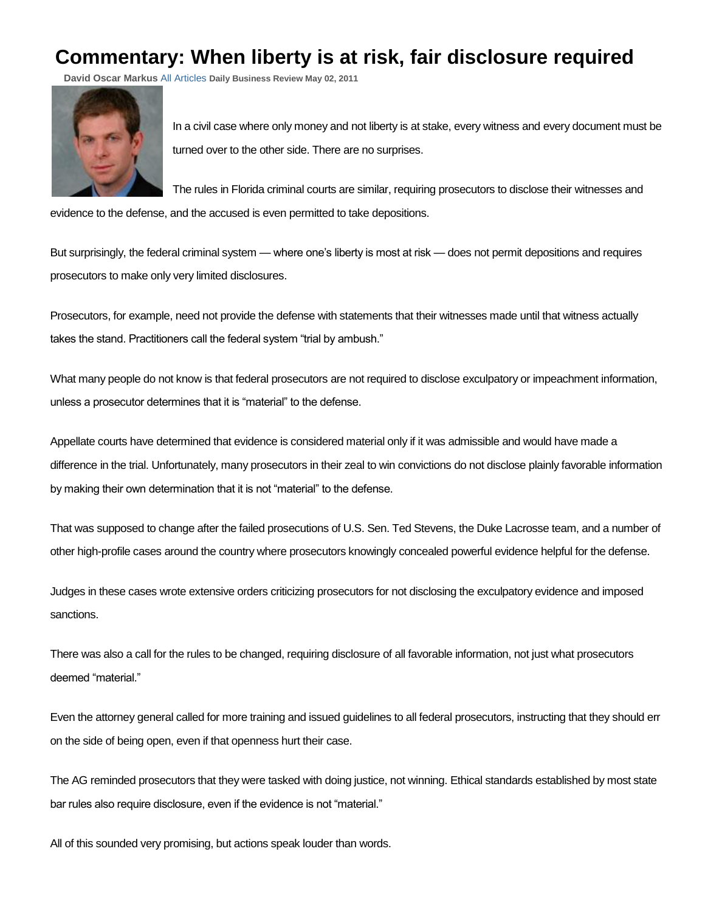## **Commentary: When liberty is at risk, fair disclosure required**

**David Oscar Markus** [All Articles](http://quest.law.com/Search/Search.do?Ntt=%22David%20Oscar%20Markus%22&x=0&y=0&Nty=1&N=0&site=law&Ntk=SI_All&cx=0&sortVar=1) **Daily Business Review May 02, 2011**



In a civil case where only money and not liberty is at stake, every witness and every document must be turned over to the other side. There are no surprises.

The rules in Florida criminal courts are similar, requiring prosecutors to disclose their witnesses and

evidence to the defense, and the accused is even permitted to take depositions.

But surprisingly, the federal criminal system — where one's liberty is most at risk — does not permit depositions and requires prosecutors to make only very limited disclosures.

Prosecutors, for example, need not provide the defense with statements that their witnesses made until that witness actually takes the stand. Practitioners call the federal system "trial by ambush."

What many people do not know is that federal prosecutors are not required to disclose exculpatory or impeachment information, unless a prosecutor determines that it is "material" to the defense.

Appellate courts have determined that evidence is considered material only if it was admissible and would have made a difference in the trial. Unfortunately, many prosecutors in their zeal to win convictions do not disclose plainly favorable information by making their own determination that it is not "material" to the defense.

That was supposed to change after the failed prosecutions of U.S. Sen. Ted Stevens, the Duke Lacrosse team, and a number of other high-profile cases around the country where prosecutors knowingly concealed powerful evidence helpful for the defense.

Judges in these cases wrote extensive orders criticizing prosecutors for not disclosing the exculpatory evidence and imposed sanctions.

There was also a call for the rules to be changed, requiring disclosure of all favorable information, not just what prosecutors deemed "material."

Even the attorney general called for more training and issued guidelines to all federal prosecutors, instructing that they should err on the side of being open, even if that openness hurt their case.

The AG reminded prosecutors that they were tasked with doing justice, not winning. Ethical standards established by most state bar rules also require disclosure, even if the evidence is not "material."

All of this sounded very promising, but actions speak louder than words.